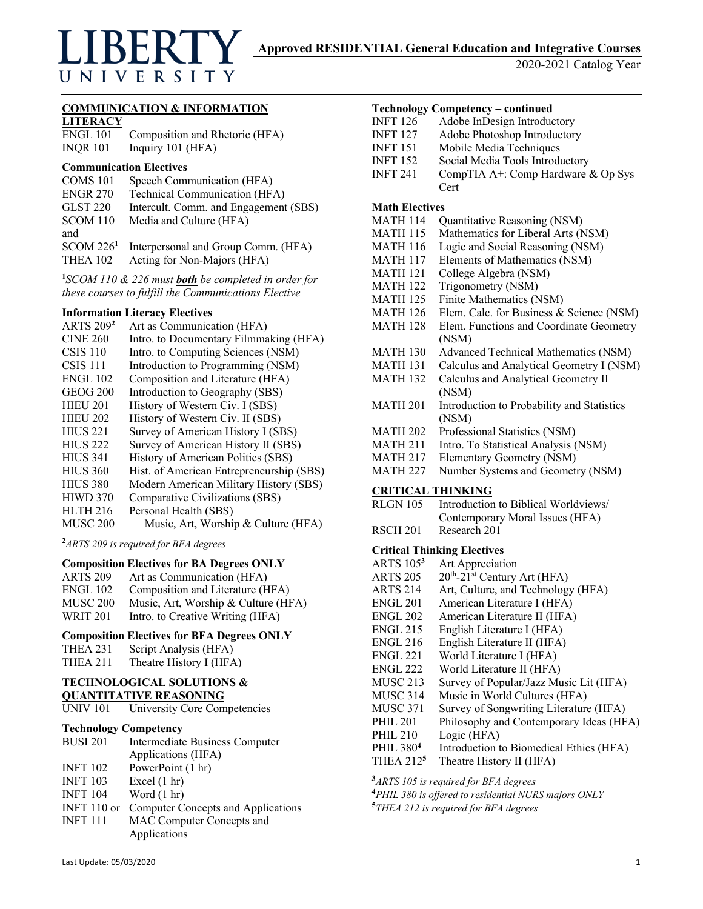# UNIVERSITY

2020-2021 Catalog Year

## **COMMUNICATION & INFORMATION**

**LITERACY**

ENGL 101 Composition and Rhetoric (HFA) INQR 101 Inquiry 101 (HFA)

#### **Communication Electives**

| COMS 101              | Speech Communication (HFA)            |
|-----------------------|---------------------------------------|
| <b>ENGR 270</b>       | Technical Communication (HFA)         |
| <b>GLST 220</b>       | Intercult. Comm. and Engagement (SBS) |
| <b>SCOM 110</b>       | Media and Culture (HFA)               |
| and                   |                                       |
| SCOM 226 <sup>1</sup> | Interpersonal and Group Comm. (HFA)   |
| <b>THEA 102</b>       | Acting for Non-Majors (HFA)           |
|                       |                                       |

**1** *SCOM 110 & 226 must both be completed in order for these courses to fulfill the Communications Elective*

## **Information Literacy Electives**

| <b>ARTS</b> 209 <sup>2</sup> | Art as Communication (HFA)               |
|------------------------------|------------------------------------------|
| <b>CINE 260</b>              | Intro. to Documentary Filmmaking (HFA)   |
| $CSIS$ 110                   | Intro. to Computing Sciences (NSM)       |
| <b>CSIS 111</b>              | Introduction to Programming (NSM)        |
| <b>ENGL 102</b>              | Composition and Literature (HFA)         |
| <b>GEOG 200</b>              | Introduction to Geography (SBS)          |
| <b>HIEU 201</b>              | History of Western Civ. I (SBS)          |
| <b>HIEU 202</b>              | History of Western Civ. II (SBS)         |
| <b>HIUS 221</b>              | Survey of American History I (SBS)       |
| <b>HIUS 222</b>              | Survey of American History II (SBS)      |
| <b>HIUS 341</b>              | History of American Politics (SBS)       |
| <b>HIUS 360</b>              | Hist. of American Entrepreneurship (SBS) |
| <b>HIUS 380</b>              | Modern American Military History (SBS)   |
| <b>HIWD 370</b>              | Comparative Civilizations (SBS)          |
| <b>HLTH 216</b>              | Personal Health (SBS)                    |
| MUSC 200                     | Music, Art, Worship & Culture (HFA)      |
|                              |                                          |

**2** *ARTS 209 is required for BFA degrees*

#### **Composition Electives for BA Degrees ONLY**

- ARTS 209 Art as Communication (HFA)
- ENGL 102 Composition and Literature (HFA)
- MUSC 200 Music, Art, Worship & Culture (HFA)
- WRIT 201 Intro. to Creative Writing (HFA)

# **Composition Electives for BFA Degrees ONLY**

- THEA 231 Script Analysis (HFA)
- THEA 211 Theatre History I (HFA)

## **TECHNOLOGICAL SOLUTIONS & QUANTITATIVE REASONING**

| <b>UNIV 101</b> | University Core Competencies |
|-----------------|------------------------------|

# **Technology Competency**

| <b>BUSI 201</b> | Intermediate Business Computer     |
|-----------------|------------------------------------|
|                 | Applications (HFA)                 |
| <b>INFT 102</b> | PowerPoint (1 hr)                  |
| <b>INFT 103</b> | Excel $(1 hr)$                     |
| <b>INFT 104</b> | Word $(1 \text{ hr})$              |
| INFT $110$ or   | Computer Concepts and Applications |
| <b>INFT 111</b> | MAC Computer Concepts and          |
|                 | Applications                       |

#### **Technology Competency – continued**

| <b>Math Electives</b> |                                    |
|-----------------------|------------------------------------|
|                       | Cert                               |
| <b>INFT 241</b>       | CompTIA A+: Comp Hardware & Op Sys |
| <b>INFT 152</b>       | Social Media Tools Introductory    |
| INFT 151              | Mobile Media Techniques            |
| INFT 127              | Adobe Photoshop Introductory       |
| INFT 126              | Adobe InDesign Introductory        |

#### MATH 114 Quantitative Reasoning (NSM)

- MATH 115 Mathematics for Liberal Arts (NSM)
- MATH 116 Logic and Social Reasoning (NSM)
- MATH 117 Elements of Mathematics (NSM)
- MATH 121 College Algebra (NSM)
- MATH 122 Trigonometry (NSM)
- MATH 125 Finite Mathematics (NSM)
- MATH 126 Elem. Calc. for Business & Science (NSM) MATH 128 Elem. Functions and Coordinate Geometry
- (NSM)
- MATH 130 Advanced Technical Mathematics (NSM)
- MATH 131 Calculus and Analytical Geometry I (NSM)
- MATH 132 Calculus and Analytical Geometry II (NSM)
- MATH 201 Introduction to Probability and Statistics (NSM)
- MATH 202 Professional Statistics (NSM)
- MATH 211 Intro. To Statistical Analysis (NSM)
- MATH 217 Elementary Geometry (NSM)
- MATH 227 Number Systems and Geometry (NSM)

## **CRITICAL THINKING**

| RLGN 105        | Introduction to Biblical Worldviews |
|-----------------|-------------------------------------|
|                 | Contemporary Moral Issues (HFA)     |
| <b>********</b> |                                     |

RSCH 201 Research 201

#### **Critical Thinking Electives**

ARTS 105**<sup>3</sup>** Art Appreciation ARTS  $205 \, 20$ <sup>th</sup>-21<sup>st</sup> Century Art (HFA) ARTS 214 Art, Culture, and Technology (HFA) ENGL 201 American Literature I (HFA) ENGL 202 American Literature II (HFA) ENGL 215 English Literature I (HFA) ENGL 216 English Literature II (HFA) ENGL 221 World Literature I (HFA) ENGL 222 World Literature II (HFA) MUSC 213 Survey of Popular/Jazz Music Lit (HFA) MUSC 314 Music in World Cultures (HFA) MUSC 371 Survey of Songwriting Literature (HFA) PHIL 201 Philosophy and Contemporary Ideas (HFA) PHIL 210 Logic (HFA) PHIL 380<sup>4</sup> Introduction to Biomedical Ethics (HFA) THEA 212**<sup>5</sup>** Theatre History II (HFA)

**3** *ARTS 105 is required for BFA degrees*

**4** *PHIL 380 is offered to residential NURS majors ONLY*

**5** *THEA 212 is required for BFA degrees*